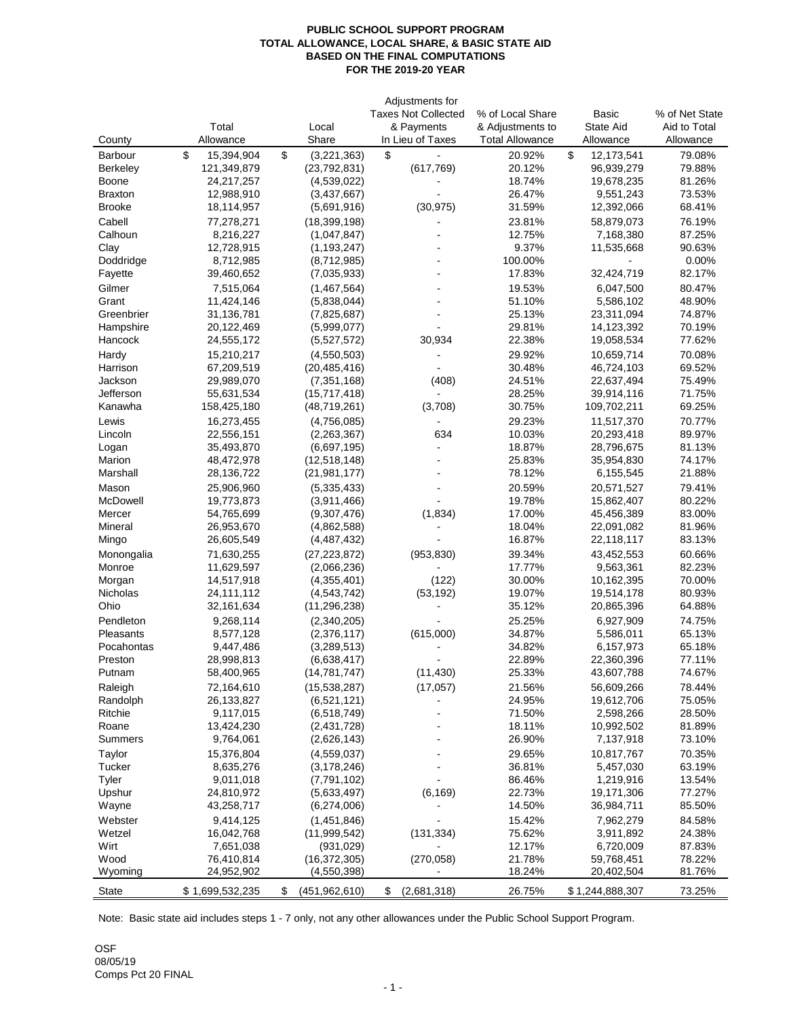## **PUBLIC SCHOOL SUPPORT PROGRAM TOTAL ALLOWANCE, LOCAL SHARE, & BASIC STATE AID BASED ON THE FINAL COMPUTATIONS FOR THE 2019-20 YEAR**

|                  |                  |                                          | Adjustments for            |                        |                  |                |
|------------------|------------------|------------------------------------------|----------------------------|------------------------|------------------|----------------|
|                  |                  |                                          | <b>Taxes Not Collected</b> | % of Local Share       | <b>Basic</b>     | % of Net State |
|                  | Total            | Local                                    | & Payments                 | & Adjustments to       | <b>State Aid</b> | Aid to Total   |
| County           | Allowance        | Share                                    | In Lieu of Taxes           | <b>Total Allowance</b> | Allowance        | Allowance      |
| <b>Barbour</b>   | \$<br>15,394,904 | $\boldsymbol{\mathsf{S}}$<br>(3,221,363) | \$                         | 20.92%                 | \$<br>12,173,541 | 79.08%         |
| <b>Berkeley</b>  | 121,349,879      | (23, 792, 831)                           | (617, 769)                 | 20.12%                 | 96,939,279       | 79.88%         |
| <b>Boone</b>     | 24,217,257       | (4,539,022)                              |                            | 18.74%                 | 19,678,235       | 81.26%         |
| <b>Braxton</b>   | 12,988,910       | (3,437,667)                              |                            | 26.47%                 | 9,551,243        | 73.53%         |
| <b>Brooke</b>    | 18,114,957       | (5,691,916)                              | (30, 975)                  | 31.59%                 | 12,392,066       | 68.41%         |
| Cabell           | 77,278,271       | (18, 399, 198)                           |                            | 23.81%                 | 58,879,073       | 76.19%         |
| Calhoun          | 8,216,227        | (1,047,847)                              |                            | 12.75%                 | 7,168,380        | 87.25%         |
| Clay             | 12,728,915       | (1, 193, 247)                            |                            | 9.37%                  | 11,535,668       | 90.63%         |
| Doddridge        | 8,712,985        | (8,712,985)                              |                            | 100.00%                |                  | 0.00%          |
| Fayette          | 39,460,652       | (7,035,933)                              |                            | 17.83%                 | 32,424,719       | 82.17%         |
|                  |                  |                                          |                            |                        |                  |                |
| Gilmer           | 7,515,064        | (1,467,564)                              |                            | 19.53%                 | 6,047,500        | 80.47%         |
| Grant            | 11,424,146       | (5,838,044)                              |                            | 51.10%                 | 5,586,102        | 48.90%         |
| Greenbrier       | 31,136,781       | (7,825,687)                              |                            | 25.13%                 | 23,311,094       | 74.87%         |
| Hampshire        | 20,122,469       | (5,999,077)                              |                            | 29.81%                 | 14,123,392       | 70.19%         |
| Hancock          | 24,555,172       | (5,527,572)                              | 30,934                     | 22.38%                 | 19,058,534       | 77.62%         |
| Hardy            | 15,210,217       | (4,550,503)                              |                            | 29.92%                 | 10,659,714       | 70.08%         |
| Harrison         | 67,209,519       | (20, 485, 416)                           |                            | 30.48%                 | 46,724,103       | 69.52%         |
| Jackson          | 29,989,070       | (7, 351, 168)                            | (408)                      | 24.51%                 | 22,637,494       | 75.49%         |
| Jefferson        | 55,631,534       | (15,717,418)                             |                            | 28.25%                 | 39,914,116       | 71.75%         |
| Kanawha          | 158,425,180      | (48, 719, 261)                           | (3,708)                    | 30.75%                 | 109,702,211      | 69.25%         |
| Lewis            | 16,273,455       | (4,756,085)                              |                            | 29.23%                 | 11,517,370       | 70.77%         |
| Lincoln          | 22,556,151       | (2,263,367)                              | 634                        | 10.03%                 | 20,293,418       | 89.97%         |
| Logan            | 35,493,870       | (6,697,195)                              |                            | 18.87%                 | 28,796,675       | 81.13%         |
| <b>Marion</b>    | 48,472,978       | (12,518,148)                             |                            | 25.83%                 | 35,954,830       | 74.17%         |
| Marshall         | 28,136,722       | (21, 981, 177)                           |                            | 78.12%                 | 6,155,545        | 21.88%         |
| Mason            | 25,906,960       | (5,335,433)                              |                            | 20.59%                 | 20,571,527       | 79.41%         |
| <b>McDowell</b>  | 19,773,873       | (3,911,466)                              |                            | 19.78%                 | 15,862,407       | 80.22%         |
| Mercer           | 54,765,699       | (9,307,476)                              | (1,834)                    | 17.00%                 | 45,456,389       | 83.00%         |
| <b>Mineral</b>   | 26,953,670       | (4,862,588)                              |                            | 18.04%                 | 22,091,082       | 81.96%         |
| Mingo            | 26,605,549       | (4,487,432)                              |                            | 16.87%                 | 22,118,117       | 83.13%         |
|                  |                  |                                          |                            |                        |                  |                |
| Monongalia       | 71,630,255       | (27, 223, 872)                           | (953, 830)                 | 39.34%                 | 43,452,553       | 60.66%         |
| Monroe           | 11,629,597       | (2,066,236)                              |                            | 17.77%                 | 9,563,361        | 82.23%         |
| Morgan           | 14,517,918       | (4,355,401)                              | (122)                      | 30.00%                 | 10,162,395       | 70.00%         |
| <b>Nicholas</b>  | 24,111,112       | (4, 543, 742)                            | (53, 192)                  | 19.07%                 | 19,514,178       | 80.93%         |
| Ohio             | 32,161,634       | (11, 296, 238)                           |                            | 35.12%                 | 20,865,396       | 64.88%         |
| Pendleton        | 9,268,114        | (2,340,205)                              |                            | 25.25%                 | 6,927,909        | 74.75%         |
| <b>Pleasants</b> | 8,577,128        | (2,376,117)                              | (615,000)                  | 34.87%                 | 5,586,011        | 65.13%         |
| Pocahontas       | 9,447,486        | (3,289,513)                              |                            | 34.82%                 | 6,157,973        | 65.18%         |
| Preston          | 28,998,813       | (6,638,417)                              |                            | 22.89%                 | 22,360,396       | 77.11%         |
| Putnam           | 58,400,965       | (14, 781, 747)                           | (11, 430)                  | 25.33%                 | 43,607,788       | 74.67%         |
| Raleigh          | 72,164,610       | (15, 538, 287)                           | (17,057)                   | 21.56%                 | 56,609,266       | 78.44%         |
| Randolph         | 26,133,827       | (6,521,121)                              |                            | 24.95%                 | 19,612,706       | 75.05%         |
| Ritchie          | 9,117,015        | (6, 518, 749)                            |                            | 71.50%                 | 2,598,266        | 28.50%         |
| Roane            | 13,424,230       | (2,431,728)                              |                            | 18.11%                 | 10,992,502       | 81.89%         |
| <b>Summers</b>   | 9,764,061        | (2,626,143)                              |                            | 26.90%                 | 7,137,918        | 73.10%         |
| Taylor           | 15,376,804       | (4,559,037)                              |                            | 29.65%                 | 10,817,767       | 70.35%         |
| Tucker           | 8,635,276        | (3, 178, 246)                            |                            | 36.81%                 | 5,457,030        | 63.19%         |
| <b>Tyler</b>     | 9,011,018        | (7,791,102)                              |                            | 86.46%                 | 1,219,916        | 13.54%         |
| Upshur           | 24,810,972       | (5,633,497)                              | (6, 169)                   | 22.73%                 | 19,171,306       | 77.27%         |
| Wayne            | 43,258,717       | (6,274,006)                              |                            | 14.50%                 | 36,984,711       | 85.50%         |
|                  |                  |                                          |                            |                        |                  |                |
| Webster          | 9,414,125        | (1,451,846)                              |                            | 15.42%                 | 7,962,279        | 84.58%         |
| Wetzel           | 16,042,768       | (11,999,542)                             | (131, 334)                 | 75.62%                 | 3,911,892        | 24.38%         |
| Wirt             | 7,651,038        | (931, 029)                               |                            | 12.17%                 | 6,720,009        | 87.83%         |
| Wood             | 76,410,814       | (16, 372, 305)                           | (270, 058)                 | 21.78%                 | 59,768,451       | 78.22%         |
| Wyoming          | 24,952,902       | (4,550,398)                              |                            | 18.24%                 | 20,402,504       | 81.76%         |
| <b>State</b>     | \$1,699,532,235  | \$<br>(451, 962, 610)                    | \$<br>(2,681,318)          | 26.75%                 | \$1,244,888,307  | 73.25%         |
|                  |                  |                                          |                            |                        |                  |                |

**OSF** 08/05/19 Comps Pct 20 FINAL

Note: Basic state aid includes steps 1 - 7 only, not any other allowances under the Public School Support Program.